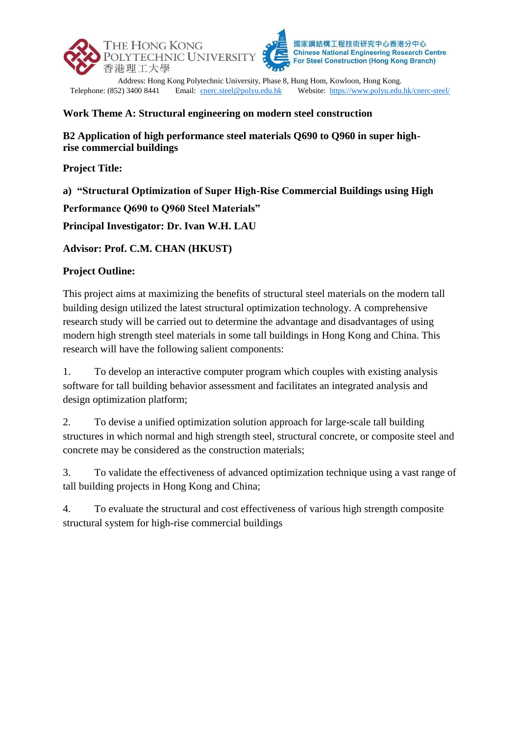

Address: Hong Kong Polytechnic University, Phase 8, Hung Hom, Kowloon, Hong Kong.<br>Telephone: (852) 3400 8441 Email: cnerc.steel@polyu.edu.hk Website: https://www.polyu.edu Email: [cnerc.steel@polyu.edu.hk](mailto:cnerc.steel@polyu.edu.hk) Website:<https://www.polyu.edu.hk/cnerc-steel/>

## **Work Theme A: Structural engineering on modern steel construction**

**B2 Application of high performance steel materials Q690 to Q960 in super highrise commercial buildings**

**Project Title:**

**a) "Structural Optimization of Super High-Rise Commercial Buildings using High** 

**Performance Q690 to Q960 Steel Materials"**

**Principal Investigator: Dr. Ivan W.H. LAU**

**Advisor: Prof. C.M. CHAN (HKUST)**

## **Project Outline:**

This project aims at maximizing the benefits of structural steel materials on the modern tall building design utilized the latest structural optimization technology. A comprehensive research study will be carried out to determine the advantage and disadvantages of using modern high strength steel materials in some tall buildings in Hong Kong and China. This research will have the following salient components:

1. To develop an interactive computer program which couples with existing analysis software for tall building behavior assessment and facilitates an integrated analysis and design optimization platform;

2. To devise a unified optimization solution approach for large-scale tall building structures in which normal and high strength steel, structural concrete, or composite steel and concrete may be considered as the construction materials;

3. To validate the effectiveness of advanced optimization technique using a vast range of tall building projects in Hong Kong and China;

4. To evaluate the structural and cost effectiveness of various high strength composite structural system for high-rise commercial buildings